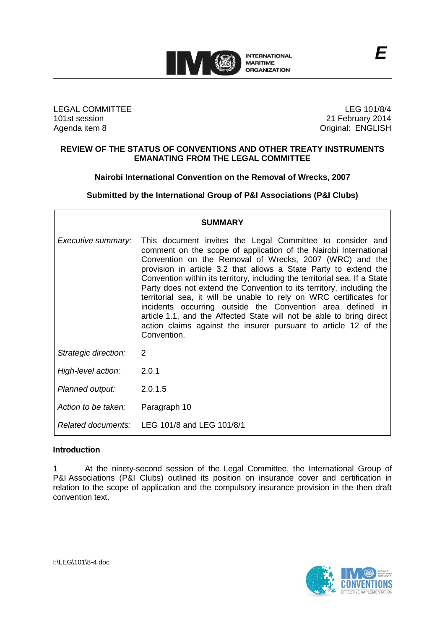

LEGAL COMMITTEE 101st session Agenda item 8

LEG 101/8/4 21 February 2014 Original: ENGLISH

### **REVIEW OF THE STATUS OF CONVENTIONS AND OTHER TREATY INSTRUMENTS EMANATING FROM THE LEGAL COMMITTEE**

**Nairobi International Convention on the Removal of Wrecks, 2007**

**Submitted by the International Group of P&I Associations (P&I Clubs)**

| <b>SUMMARY</b>       |                                                                                                                                                                                                                                                                                                                                                                                                                                                                                                                                                                                                                                                                                                                  |
|----------------------|------------------------------------------------------------------------------------------------------------------------------------------------------------------------------------------------------------------------------------------------------------------------------------------------------------------------------------------------------------------------------------------------------------------------------------------------------------------------------------------------------------------------------------------------------------------------------------------------------------------------------------------------------------------------------------------------------------------|
| Executive summary:   | This document invites the Legal Committee to consider and<br>comment on the scope of application of the Nairobi International<br>Convention on the Removal of Wrecks, 2007 (WRC) and the<br>provision in article 3.2 that allows a State Party to extend the<br>Convention within its territory, including the territorial sea. If a State<br>Party does not extend the Convention to its territory, including the<br>territorial sea, it will be unable to rely on WRC certificates for<br>incidents occurring outside the Convention area defined in<br>article 1.1, and the Affected State will not be able to bring direct<br>action claims against the insurer pursuant to article 12 of the<br>Convention. |
| Strategic direction: | 2                                                                                                                                                                                                                                                                                                                                                                                                                                                                                                                                                                                                                                                                                                                |
| High-level action:   | 2.0.1                                                                                                                                                                                                                                                                                                                                                                                                                                                                                                                                                                                                                                                                                                            |
| Planned output:      | 2.0.1.5                                                                                                                                                                                                                                                                                                                                                                                                                                                                                                                                                                                                                                                                                                          |
| Action to be taken:  | Paragraph 10                                                                                                                                                                                                                                                                                                                                                                                                                                                                                                                                                                                                                                                                                                     |
|                      | Related documents: LEG 101/8 and LEG 101/8/1                                                                                                                                                                                                                                                                                                                                                                                                                                                                                                                                                                                                                                                                     |

# **Introduction**

1 At the ninety-second session of the Legal Committee, the International Group of P&I Associations (P&I Clubs) outlined its position on insurance cover and certification in relation to the scope of application and the compulsory insurance provision in the then draft convention text.



I:\LEG\101\8-4.doc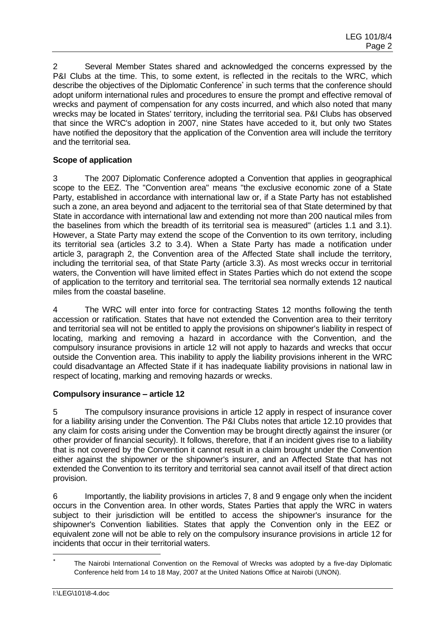2 Several Member States shared and acknowledged the concerns expressed by the P&I Clubs at the time. This, to some extent, is reflected in the recitals to the WRC, which describe the objectives of the Diplomatic Conference<sup>\*</sup> in such terms that the conference should adopt uniform international rules and procedures to ensure the prompt and effective removal of wrecks and payment of compensation for any costs incurred, and which also noted that many wrecks may be located in States' territory, including the territorial sea. P&I Clubs has observed that since the WRC's adoption in 2007, nine States have acceded to it, but only two States have notified the depository that the application of the Convention area will include the territory and the territorial sea.

# **Scope of application**

3 The 2007 Diplomatic Conference adopted a Convention that applies in geographical scope to the EEZ. The "Convention area" means "the exclusive economic zone of a State Party, established in accordance with international law or, if a State Party has not established such a zone, an area beyond and adjacent to the territorial sea of that State determined by that State in accordance with international law and extending not more than 200 nautical miles from the baselines from which the breadth of its territorial sea is measured" (articles 1.1 and 3.1). However, a State Party may extend the scope of the Convention to its own territory, including its territorial sea (articles 3.2 to 3.4). When a State Party has made a notification under article 3, paragraph 2, the Convention area of the Affected State shall include the territory, including the territorial sea, of that State Party (article 3.3). As most wrecks occur in territorial waters. the Convention will have limited effect in States Parties which do not extend the scope of application to the territory and territorial sea. The territorial sea normally extends 12 nautical miles from the coastal baseline.

4 The WRC will enter into force for contracting States 12 months following the tenth accession or ratification. States that have not extended the Convention area to their territory and territorial sea will not be entitled to apply the provisions on shipowner's liability in respect of locating, marking and removing a hazard in accordance with the Convention, and the compulsory insurance provisions in article 12 will not apply to hazards and wrecks that occur outside the Convention area. This inability to apply the liability provisions inherent in the WRC could disadvantage an Affected State if it has inadequate liability provisions in national law in respect of locating, marking and removing hazards or wrecks.

## **Compulsory insurance – article 12**

5 The compulsory insurance provisions in article 12 apply in respect of insurance cover for a liability arising under the Convention. The P&I Clubs notes that article 12.10 provides that any claim for costs arising under the Convention may be brought directly against the insurer (or other provider of financial security). It follows, therefore, that if an incident gives rise to a liability that is not covered by the Convention it cannot result in a claim brought under the Convention either against the shipowner or the shipowner's insurer, and an Affected State that has not extended the Convention to its territory and territorial sea cannot avail itself of that direct action provision.

6 Importantly, the liability provisions in articles 7, 8 and 9 engage only when the incident occurs in the Convention area. In other words, States Parties that apply the WRC in waters subject to their jurisdiction will be entitled to access the shipowner's insurance for the shipowner's Convention liabilities. States that apply the Convention only in the EEZ or equivalent zone will not be able to rely on the compulsory insurance provisions in article 12 for incidents that occur in their territorial waters.

 $\overline{\phantom{a}}$ 

The Nairobi International Convention on the Removal of Wrecks was adopted by a five-day Diplomatic Conference held from 14 to 18 May, 2007 at the United Nations Office at Nairobi (UNON).